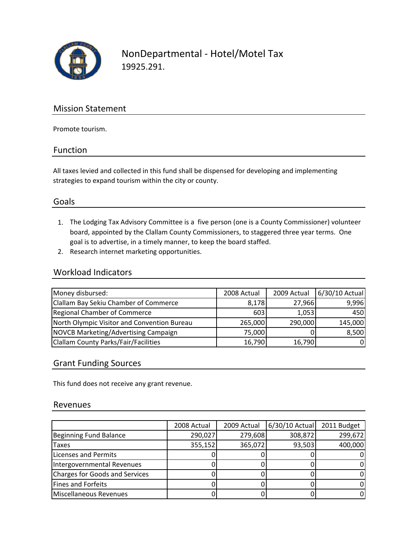

NonDepartmental ‐ Hotel/Motel Tax 19925.291.

### Mission Statement

Promote tourism.

#### Function

All taxes levied and collected in this fund shall be dispensed for developing and implementing strategies to expand tourism within the city or county.

#### Goals

- 1. The Lodging Tax Advisory Committee is a five person (one is a County Commissioner) volunteer board, appointed by the Clallam County Commissioners, to staggered three year terms. One goal is to advertise, in a timely manner, to keep the board staffed.
- 2. Research internet marketing opportunities.

#### Workload Indicators

| Money disbursed:                            | 2008 Actual | 2009 Actual | 6/30/10 Actual |
|---------------------------------------------|-------------|-------------|----------------|
| Clallam Bay Sekiu Chamber of Commerce       | 8,178       | 27,966      | 9,996          |
| Regional Chamber of Commerce                | 603         | 1,053       | 450            |
| North Olympic Visitor and Convention Bureau | 265,000     | 290,000     | 145,000        |
| NOVCB Marketing/Advertising Campaign        | 75,000      |             | 8,500          |
| Clallam County Parks/Fair/Facilities        | 16,790      | 16,790      | 0l             |

#### Grant Funding Sources

This fund does not receive any grant revenue.

#### Revenues

|                                       | 2008 Actual | 2009 Actual | $6/30/10$ Actual | 2011 Budget |
|---------------------------------------|-------------|-------------|------------------|-------------|
| Beginning Fund Balance                | 290,027     | 279,608     | 308,872          | 299,672     |
| Taxes                                 | 355,152     | 365,072     | 93,503           | 400,000     |
| <b>Licenses and Permits</b>           |             |             |                  | O           |
| Intergovernmental Revenues            |             |             |                  | 0           |
| <b>Charges for Goods and Services</b> |             |             |                  | 0           |
| Fines and Forfeits                    |             |             |                  | 0           |
| Miscellaneous Revenues                |             |             |                  | 0           |